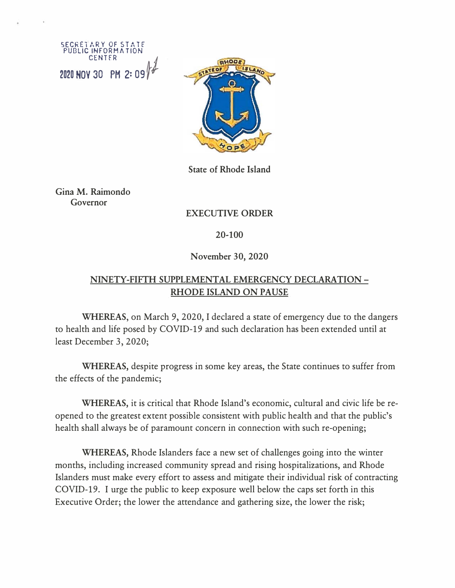SECRETARY OF STATE PUBLIC INFORMATION CENTER *J* **2020 HOV 30 PH 2: 09** *t* 



**State of Rhode Island** 

**Gina M. Raimondo Governor** 

# **EXECUTIVE ORDER**

#### **20-100**

#### **November 30, 2020**

# **NINETY-FIFTH SUPPLEMENTAL EMERGENCY DECLARATION - RHODE ISLAND ON PAUSE**

**WHEREAS,** on March 9, 2020, I declared a state of emergency due to the dangers to health and life posed by COVID-19 and such declaration has been extended until at least December 3, 2020;

**WHEREAS,** despite progress in some key areas, the State continues to suffer from the effects of the pandemic;

**WHEREAS,** it is critical that Rhode Island's economic, cultural and civic life be reopened to the greatest extent possible consistent with public health and that the public's health shall always be of paramount concern in connection with such re-opening;

**WHEREAS,** Rhode Islanders face a new set of challenges going into the winter months, including increased community spread and rising hospitalizations, and Rhode Islanders must make every effort to assess and mitigate their individual risk of contracting COVID-19. I urge the public to keep exposure well below the caps set forth in this Executive Order; the lower the attendance and gathering size, the lower the risk;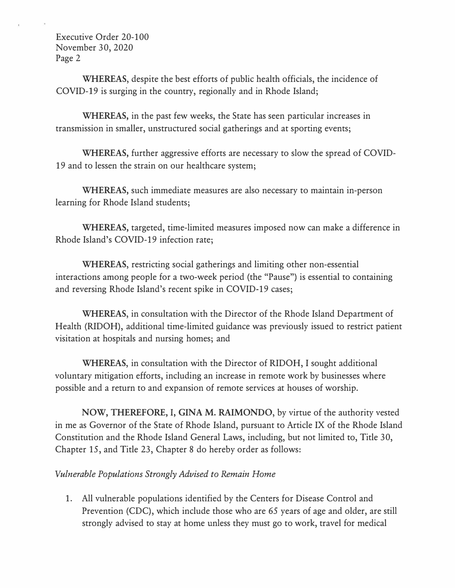**WHEREAS,** despite the best efforts of public health officials, the incidence of COVID-19 is surging in the country, regionally and in Rhode Island;

**WHEREAS,** in the past few weeks, the State has seen particular increases in transmission in smaller, unstructured social gatherings and at sporting events;

**WHEREAS,** further aggressive efforts are necessary to slow the spread of COVID-19 and to lessen the strain on our healthcare system;

**WHEREAS,** such immediate measures are also necessary to maintain in-person learning for Rhode Island students;

**WHEREAS,** targeted, time-limited measures imposed now can make a difference in Rhode Island's COVID-19 infection rate;

**WHEREAS,** restricting social gatherings and limiting other non-essential interactions among people for a two-week period (the "Pause") is essential to containing and reversing Rhode Island's recent spike in COVID-19 cases;

**WHEREAS,** in consultation with the Director of the Rhode Island Department of Health (RIDOH), additional time-limited guidance was previously issued to restrict patient visitation at hospitals and nursing homes; and

**WHEREAS,** in consultation with the Director of RIDOH, I sought additional voluntary mitigation efforts, including an increase in remote work by businesses where possible and a return to and expansion of remote services at houses of worship.

**NOW, THEREFORE,** I, **GINA M. RAIMONDO,** by virtue of the authority vested in me as Governor of the State of Rhode Island, pursuant to Article IX of the Rhode Island Constitution and the Rhode Island General Laws, including, but not limited to, Title 30, Chapter 15, and Title 23, Chapter 8 do hereby order as follows:

# *Vulnerable Populations Strongly Advised to Remain Home*

1. All vulnerable populations identified by the Centers for Disease Control and Prevention (CDC), which include those who are 65 years of age and older, are still strongly advised to stay at home unless they must go to work, travel for medical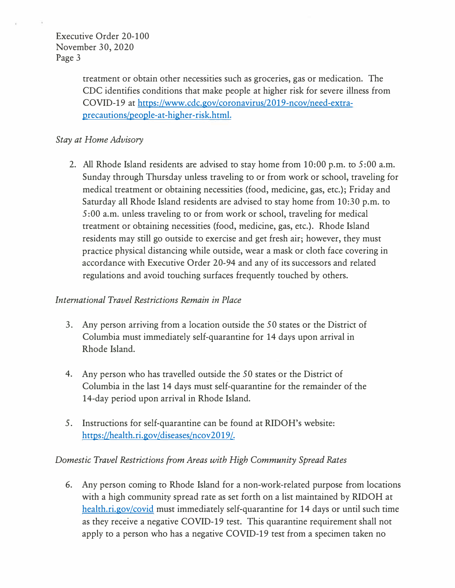treatment or obtain other necessities such as groceries, gas or medication. The CDC identifies conditions that make people at higher risk for severe illness from COVID-19 at https://www.cdc.gov/coronavirus/2019-ncov/need-extraprecautions/people-at-higher-risk.html.

## *Stay at Home Advisory*

2. All Rhode Island residents are advised to stay home from 10:00 p.m. to 5:00 a.m. Sunday through Thursday unless traveling to or from work or school, traveling for medical treatment or obtaining necessities (food, medicine, gas, etc.); Friday and Saturday all Rhode Island residents are advised to stay home from 10:30 p.m. to 5 :00 a.m. unless traveling to or from work or school, traveling for medical treatment or obtaining necessities (food, medicine, gas, etc.). Rhode Island residents may still go outside to exercise and get fresh air; however, they must practice physical distancing while outside, wear a mask or cloth face covering in accordance with Executive Order 20-94 and any of its successors and related regulations and avoid touching surfaces frequently touched by others.

## *International Travel Restrictions Remain in Place*

- 3. Any person arriving from a location outside the 50 states or the District of Columbia must immediately self-quarantine for 14 days upon arrival in Rhode Island.
- 4. Any person who has travelled outside the 50 states or the District of Columbia in the last 14 days must self-quarantine for the remainder of the 14-day period upon arrival in Rhode Island.
- 5. Instructions for self-quarantine can be found at RIDOH's website: https://health.ri.gov/diseases/ncov2019/.

## *Domestic Travel Restrictions from Areas with High Community Spread Rates*

6. Any person coming to Rhode Island for a non-work-related purpose from locations with a high community spread rate as set forth on a list maintained by RIDOH at health.ri.gov/covid must immediately self-quarantine for 14 days or until such time as they receive a negative COVID-19 test. This quarantine requirement shall not apply to a person who has a negative COVID-19 test from a specimen taken no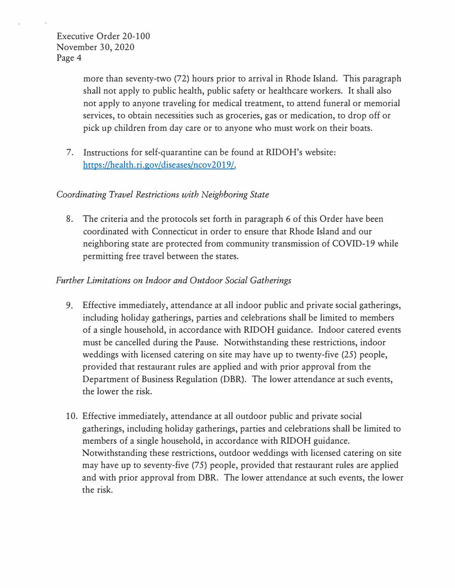more than seventy-two (72) hours prior to arrival in Rhode Island. This paragraph shall not apply to public health, public safety or healthcare workers. It shall also not apply to anyone traveling for medical treatment, to attend funeral or memorial services, to obtain necessities such as groceries, gas or medication, to drop off or pick up children from day care or to anyone who must work on their boats.

7. Instructions for self-quarantine can be found at RIDOH's website: https://health.ri.gov/diseases/ncov2019/.

# *Coordinating Travel Restrictions with Neighboring State*

8. The criteria and the protocols set forth in paragraph 6 of this Order have been coordinated with Connecticut in order to ensure that Rhode Island and our neighboring state are protected from community transmission of COVID-19 while permitting free travel between the states.

# *Further Limitations on Indoor and Outdoor Social Gatherings*

- 9. Effective immediately, attendance at all indoor public and private social gatherings, including holiday gatherings, parties and celebrations shall be limited to members of a single household, in accordance with RIDOH guidance. Indoor catered events must be cancelled during the Pause. Notwithstanding these restrictions, indoor weddings with licensed catering on site may have up to twenty-five (25) people, provided that restaurant rules are applied and with prior approval from the Department of Business Regulation (DBR). The lower attendance at such events, the lower the risk.
- 10. Effective immediately, attendance at all outdoor public and private social gatherings, including holiday gatherings, parties and celebrations shall be limited to members of a single household, in accordance with RIDOH guidance. Notwithstanding these restrictions, outdoor weddings with licensed catering on site may have up to seventy-five (75) people, provided that restaurant rules are applied and with prior approval from DBR. The lower attendance at such events, the lower the risk.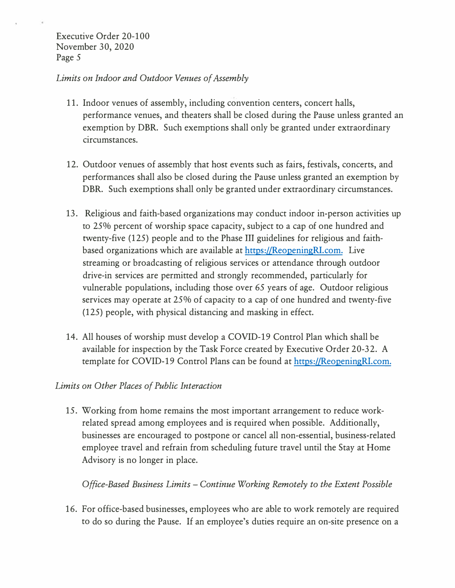#### *Limits on Indoor and Outdoor Venues of Assembly*

- 11. Indoor venues of assembly, including convention centers, concert halls, performance venues, and theaters shall be closed during the Pause unless granted an exemption by DBR. Such exemptions shall only be granted under extraordinary circumstances.
- 12. Outdoor venues of assembly that host events such as fairs, festivals, concerts, and performances shall also be closed during the Pause unless granted an exemption by DBR. Such exemptions shall only be granted under extraordinary circumstances.
- 13. Religious and faith-based organizations may conduct indoor in-person activities up to 25% percent of worship space capacity, subject to a cap of one hundred and twenty-five (125) people and to the Phase III guidelines for religious and faithbased organizations which are available at https://ReopeningRl.com. Live streaming or broadcasting of religious services or attendance through outdoor drive-in services are permitted and strongly recommended, particularly for vulnerable populations, including those over 65 years of age. Outdoor religious services may operate at 25% of capacity to a cap of one hundred and twenty-five (125) people, with physical distancing and masking in effect.
- 14. All houses of worship must develop a COVID-19 Control Plan which shall be available for inspection by the Task Force created by Executive Order 20-32. A template for COVID-19 Control Plans can be found at https://ReopeningRI.com.

## *Limits on Other Places of Public Interaction*

15. Working from home remains the most important arrangement to reduce workrelated spread among employees and is required when possible. Additionally, businesses are encouraged to postpone or cancel all non-essential, business-related employee travel and refrain from scheduling future travel until the Stay at Home Advisory is no longer in place.

*Office-Based Business Limits* - *Continue Working Remotely to the Extent Possible*

16. For office-based businesses, employees who are able to work remotely are required to do so during the Pause. If an employee's duties require an on-site presence on a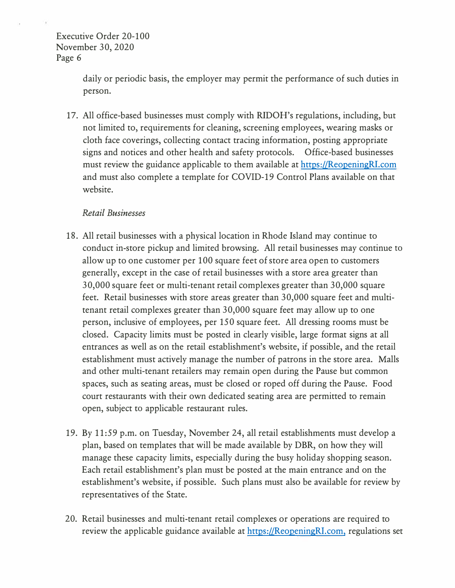> daily or periodic basis, the employer may permit the performance of such duties in person.

17. All office-based businesses must comply with RIDOH's regulations, including, but not limited to, requirements for cleaning, screening employees, wearing masks or cloth face coverings, collecting contact tracing information, posting appropriate signs and notices and other health and safety protocols. Office-based businesses must review the guidance applicable to them available at https://ReopeningRI.com and must also complete a template for COVID-19 Control Plans available on that website.

#### *Retail Businesses*

- 18. All retail businesses with a physical location in Rhode Island may continue to conduct in-store pickup and limited browsing. All retail businesses may continue to allow up to one customer per 100 square feet of store area open to customers generally, except in the case of retail businesses with a store area greater than 30,000 square feet or multi-tenant retail complexes greater than 30,000 square feet. Retail businesses with store areas greater than 30,000 square feet and multitenant retail complexes greater than 30,000 square feet may allow up to one person, inclusive of employees, per 15 0 square feet. All dressing rooms must be closed. Capacity limits must be posted in clearly visible, large format signs at all entrances as well as on the retail establishment's website, if possible, and the retail establishment must actively manage the number of patrons in the store area. Malls and other multi-tenant retailers may remain open during the Pause but common spaces, such as seating areas, must be closed or roped off during the Pause. Food court restaurants with their own dedicated seating area are permitted to remain open, subject to applicable restaurant rules.
- 19. By 11:59 p.m. on Tuesday, November 24, all retail establishments must develop a plan, based on templates that will be made available by DBR, on how they will manage these capacity limits, especially during the busy holiday shopping season. Each retail establishment's plan must be posted at the main entrance and on the establishment's website, if possible. Such plans must also be available for review by representatives of the State.
- 20. Retail businesses and multi-tenant retail complexes or operations are required to review the applicable guidance available at https://ReopeningRI.com, regulations set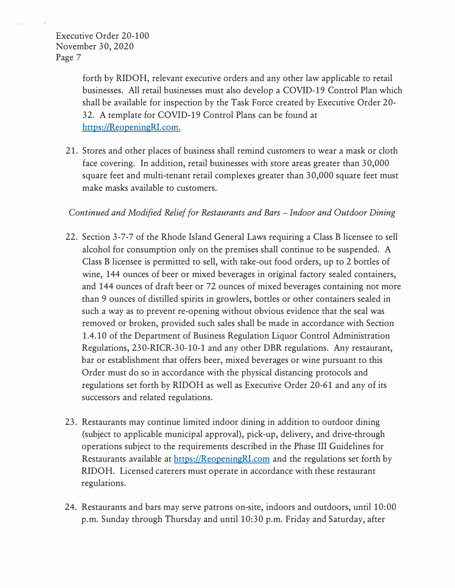forth by RIDOH, relevant executive orders and any other law applicable to retail businesses. All retail businesses must also develop a COVID-19 Control Plan which shall be available for inspection by the Task Force created by Executive Order 20- 32. A template for COVID-19 Control Plans can be found at https://ReopeningRl.com.

21. Stores and other places of business shall remind customers to wear a mask or cloth face covering. In addition, retail businesses with store areas greater than 30,000 square feet and multi-tenant retail complexes greater than 30,000 square feet must make masks available to customers.

## *Continued and Modified Relief for Restaurants and Bars* - *Indoor and Outdoor Dining*

- 22. Section 3-7-7 of the Rhode Island General Laws requiring a Class B licensee to sell alcohol for consumption only on the premises shall continue to be suspended. A Class B licensee is permitted to sell, with take-out food orders, up to 2 bottles of wine, 144 ounces of beer or mixed beverages in original factory sealed containers, and 144 ounces of draft beer or 72 ounces of mixed beverages containing not more than 9 ounces of distilled spirits in growlers, bottles or other containers sealed in such a way as to prevent re-opening without obvious evidence that the seal was removed or broken, provided such sales shall be made in accordance with Section 1.4.10 of the Department of Business Regulation Liquor Control Administration Regulations, 230-RICR-30-10-1 and any other DBR regulations. Any restaurant, bar or establishment that offers beer, mixed beverages or wine pursuant to this Order must do so in accordance with the physical distancing protocols and regulations set forth by RIDOH as well as Executive Order 20-61 and any of its successors and related regulations.
- 23. Restaurants may continue limited indoor dining in addition to outdoor dining (subject to applicable municipal approval), pick-up, delivery, and drive-through operations subject to the requirements described in the Phase III Guidelines for Restaurants available at https://ReopeningRl.com and the regulations set forth by RIDOH. Licensed caterers must operate in accordance with these restaurant regulations.
- 24. Restaurants and bars may serve patrons on-site, indoors and outdoors, until 10:00 p.m. Sunday through Thursday and until 10:30 p.m. Friday and Saturday, after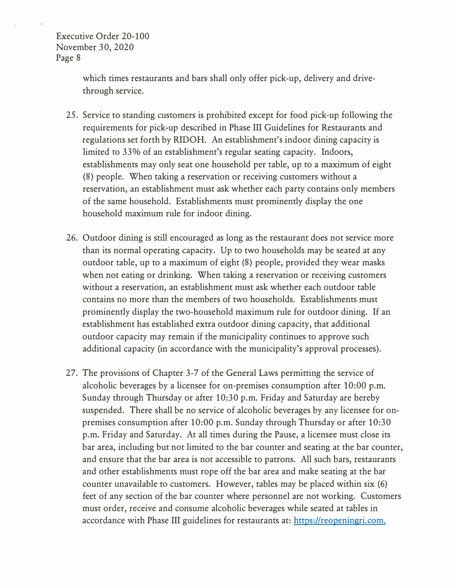> which times restaurants and bars shall only offer pick-up, delivery and drivethrough service.

- 25. Service to standing customers is prohibited except for food pick-up following the requirements for pick-up described in Phase III Guidelines for Restaurants and regulations set forth by RIDOH. An establishment's indoor dining capacity is limited to 33% of an establishment's regular seating capacity. Indoors, establishments may only seat one household per table, up to a maximum of eight (8) people. When taking a reservation or receiving customers without a reservation, an establishment must ask whether each party contains only members of the same household. Establishments must prominently display the one household maximum rule for indoor dining.
- 26. Outdoor dining is still encouraged as long as the restaurant does not service more than its normal operating capacity. Up to two households may be seated at any outdoor table, up to a maximum of eight (8) people, provided they wear masks when not eating or drinking. When taking a reservation or receiving customers without a reservation, an establishment must ask whether each outdoor table contains no more than the members of two households. Establishments must prominently display the two-household maximum rule for outdoor dining. If an establishment has established extra outdoor dining capacity, that additional outdoor capacity may remain if the municipality continues to approve such additional capacity (in accordance with the municipality's approval processes).
- 27. The provisions of Chapter 3-7 of the General Laws permitting the service of alcoholic beverages by a licensee for on-premises consumption after 10:00 p.m. Sunday through Thursday or after 10:30 p.m. Friday and Saturday are hereby suspended. There shall be no service of alcoholic beverages by any licensee for onpremises consumption after 10:00 p.m. Sunday through Thursday or after 10:30 p.m. Friday and Saturday. At all times during the Pause, a licensee must close its bar area, including but not limited to the bar counter and seating at the bar counter, and ensure that the bar area is not accessible to patrons. All such bars, restaurants and other establishments must rope off the bar area and make seating at the bar counter unavailable to customers. However, tables may be placed within six (6) feet of any section of the bar counter where personnel are not working. Customers must order, receive and consume alcoholic beverages while seated at tables in accordance with Phase III guidelines for restaurants at: https://reopeningri.com.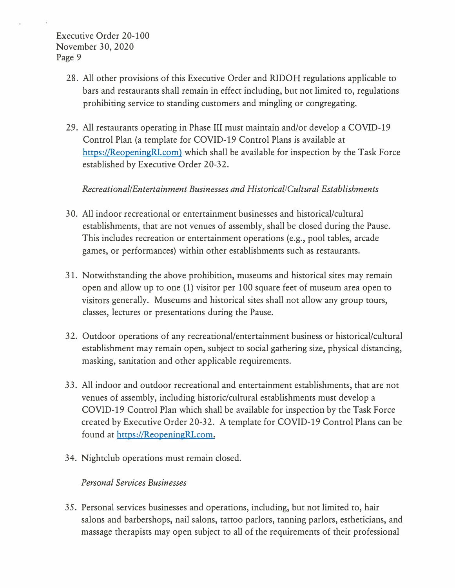- 28. All other provisions of this Executive Order and RIDOH regulations applicable to bars and restaurants shall remain in effect including, but not limited to, regulations prohibiting service to standing customers and mingling or congregating.
- 29. All restaurants operating in Phase III must maintain and/or develop a COVID-19 Control Plan (a template for COVID-19 Control Plans is available at https://ReopeningRI.com) which shall be available for inspection by the Task Force established by Executive Order 20-32.

## *Recreational/Entertainment Businesses and Historical/Cultural Establishments*

- 30. All indoor recreational or entertainment businesses and historical/cultural establishments, that are not venues of assembly, shall be closed during the Pause. This includes recreation or entertainment operations (e.g., pool tables, arcade games, or performances) within other establishments such as restaurants.
- 31. Notwithstanding the above prohibition, museums and historical sites may remain open and allow up to one (1) visitor per 100 square feet of museum area open to visitors generally. Museums and historical sites shall not allow any group tours, classes, lectures or presentations during the Pause.
- 32. Outdoor operations of any recreational/entertainment business or historical/cultural establishment may remain open, subject to social gathering size, physical distancing, masking, sanitation and other applicable requirements.
- 33. All indoor and outdoor recreational and entertainment establishments, that are not venues of assembly, including historic/cultural establishments must develop a COVID-19 Control Plan which shall be available for inspection by the Task Force created by Executive Order 20-32. A template for COVID-19 Control Plans can be found at https://ReopeningRI.com.
- 34. Nightclub operations must remain closed.

## *Personal Services Businesses*

35. Personal services businesses and operations, including, but not limited to, hair salons and barbershops, nail salons, tattoo parlors, tanning parlors, estheticians, and massage therapists may open subject to all of the requirements of their professional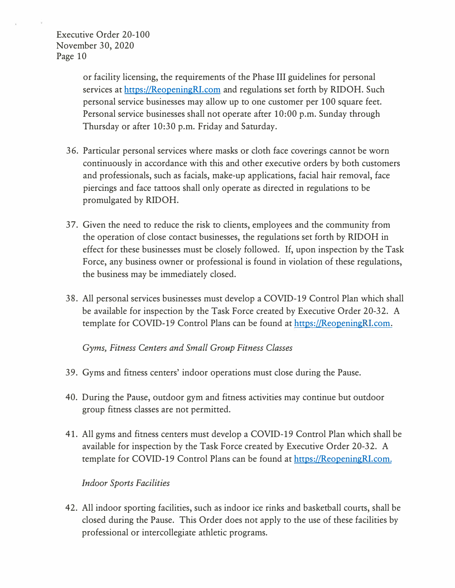> or facility licensing, the requirements of the Phase III guidelines for personal services at https://ReopeningRl.com and regulations set forth by RIDOH. Such personal service businesses may allow up to one customer per 100 square feet. Personal service businesses shall not operate after 10:00 p.m. Sunday through Thursday or after 10:30 p.m. Friday and Saturday.

- 36. Particular personal services where masks or cloth face coverings cannot be worn continuously in accordance with this and other executive orders by both customers and professionals, such as facials, make-up applications, facial hair removal, face piercings and face tattoos shall only operate as directed in regulations to be promulgated by RIDOH.
- 37. Given the need to reduce the risk to clients, employees and the community from the operation of close contact businesses, the regulations set forth by RIDOH in effect for these businesses must be closely followed. If, upon inspection by the Task Force, any business owner or professional is found in violation of these regulations, the business may be immediately closed.
- 38. All personal services businesses must develop a COVID-19 Control Plan which shall be available for inspection by the Task Force created by Executive Order 20-32. A template for COVID-19 Control Plans can be found at https://ReopeningRI.com.

*Gyms, Fitness Centers and Small Group Fitness Classes* 

- 39. Gyms and fitness centers' indoor operations must close during the Pause.
- 40. During the Pause, outdoor gym and fitness activities may continue but outdoor group fitness classes are not permitted.
- 41. All gyms and fitness centers must develop a COVID-19 Control Plan which shall be available for inspection by the Task Force created by Executive Order 20-32. A template for COVID-19 Control Plans can be found at https://ReopeningRl.com.

## *Indoor Sports Facilities*

42. All indoor sporting facilities, such as indoor ice rinks and basketball courts, shall be closed during the Pause. This Order does not apply to the use of these facilities by professional or intercollegiate athletic programs.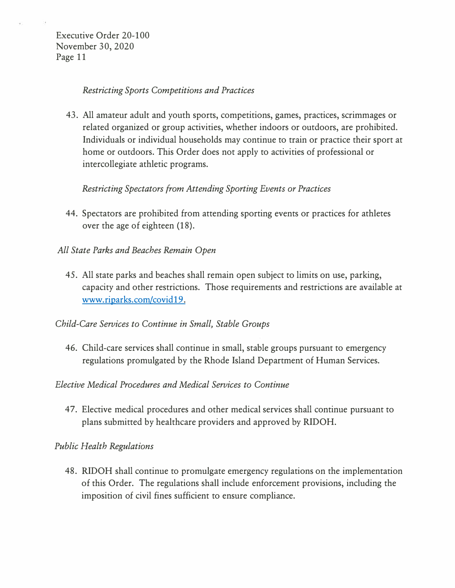#### *Restricting Sports Competitions and Practices*

43. All amateur adult and youth sports, competitions, games, practices, scrimmages or related organized or group activities, whether indoors or outdoors, are prohibited. Individuals or individual households may continue to train or practice their sport at home or outdoors. This Order does not apply to activities of professional or intercollegiate athletic programs.

## *Restricting Spectators from Attending Sporting Events or Practices*

- 44. Spectators are prohibited from attending sporting events or practices for athletes over the age of eighteen (18).
- *All State Parks and Beaches Remain Open* 
	- 45. All state parks and beaches shall remain open subject to limits on use, parking, capacity and other restrictions. Those requirements and restrictions are available at www.riparks.com/covid 19.
- *Child-Care Services to Continue in Small, Stable Groups* 
	- 46. Child-care services shall continue in small, stable groups pursuant to emergency regulations promulgated by the Rhode Island Department of Human Services.

## *Elective Medical Procedures and Medical Services to Continue*

47. Elective medical procedures and other medical services shall continue pursuant to plans submitted by healthcare providers and approved by RIDOH.

## *Public Health Regulations*

48. RIDOH shall continue to promulgate emergency regulations on the implementation of this Order. The regulations shall include enforcement provisions, including the imposition of civil fines sufficient to ensure compliance.